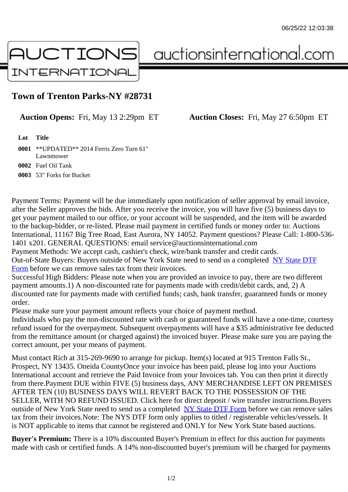## Town of Trenton Parks-NY #28731

Auction Opens: Fri, May 13 2:29pm ET Auction Closes: Fri, May 27 6:50pm ET

Lot Title

 \*\*UPDATED\*\* 2014 Ferris Zero Turn 61" Lawnmower Fuel Oil Tank 53" Forks for Bucket

Payment Terms: Payment will be due immediately upon notification of seller approval by email invoice, after the Seller approves the bids. After you receive the invoice, you will have five (5) business days to get your payment mailed to our office, or your account will be suspended, and the item will be awarded to the backup-bidder, or re-listed. Please mail payment in certified funds or money order to: Auctions International, 11167 Big Tree Road, East Aurora, NY 14052. Payment questions? Please Call: 1-800-53 1401 x201. GENERAL QUESTIONS: email service@auctionsinternational.com

Payment Methods: We accept cash, cashier's check, wire/bank transfer and credit cards.

Out-of-State Buyers: Buyers outside of New York State need to send us a com blestate DTF

Form before we can remove sales tax from their invoices.

Successful High Bidders: Please note when you are provided an invoice to pay, there are two different payment amounts.1) A non-discounted rate for payments made with credit/de[bit cards, and](https://www.auctionsinternational.com/auxiliary/downloads/DTF_Form/dtf_fill_in.pdf), 2) A [disco](https://www.auctionsinternational.com/auxiliary/downloads/DTF_Form/dtf_fill_in.pdf)unted rate for payments made with certified funds; cash, bank transfer, quaranteed funds or mone order.

Please make sure your payment amount reflects your choice of payment method.

Individuals who pay the non-discounted rate with cash or guaranteed funds will have a one-time, courte refund issued for the overpayment. Subsequent overpayments will have a \$35 administrative fee deduc from the remittance amount (or charged against) the invoiced buyer. Please make sure you are paying correct amount, per your means of payment.

Must contact Rich at 315-269-9690 to arrange for pickup. Item(s) located at 915 Trenton Falls St., Prospect, NY 13435. Oneida CountyOnce your invoice has been paid, please log into your Auctions International account and retrieve the Paid Invoice from your Invoices tab. You can then print it directly from there.Payment DUE within FIVE (5) business days, ANY MERCHANDISE LEFT ON PREMISES AFTER TEN (10) BUSINESS DAYS WILL REVERT BACK TO THE POSSESSION OF THE SELLER, WITH NO REFUND ISSUED. Click here for direct deposit / wire transfer instructions.Buyers outside of New York State need to send us a complete **State DTF Form before we can remove sales** tax from their invoices.Note: The NYS DTF form only applies to titled / registerable vehicles/vessels. It is NOT applicable to items that cannot be registered and ONLY for New York State based auctions.

Buyer's Premium: There is a 10% discounted Buye[r's Premium in effec](https://www.auctionsinternational.com/auxiliary/downloads/DTF_Form/dtf_fill_in.pdf)t for this auction for payments made with cash or certified funds. A 14% non-discounted buyer's premium will be charged for payments